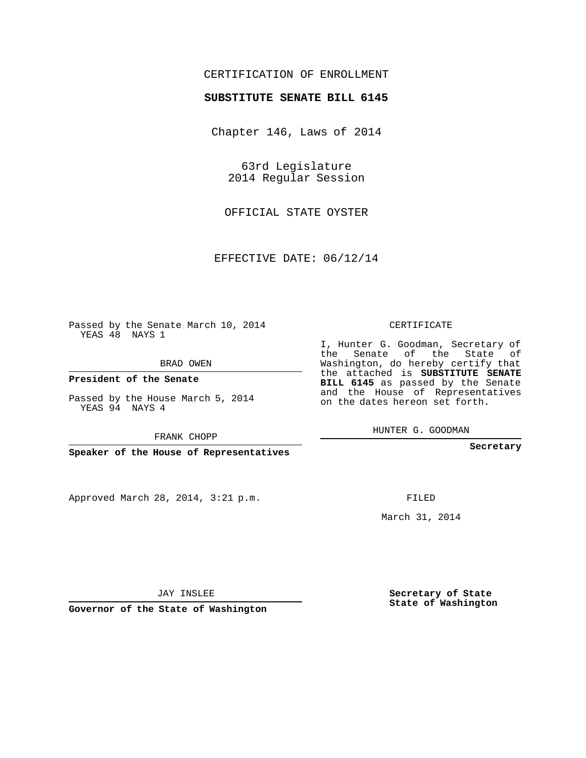## CERTIFICATION OF ENROLLMENT

## **SUBSTITUTE SENATE BILL 6145**

Chapter 146, Laws of 2014

63rd Legislature 2014 Regular Session

OFFICIAL STATE OYSTER

EFFECTIVE DATE: 06/12/14

Passed by the Senate March 10, 2014 YEAS 48 NAYS 1

BRAD OWEN

**President of the Senate**

Passed by the House March 5, 2014 YEAS 94 NAYS 4

FRANK CHOPP

**Speaker of the House of Representatives**

Approved March 28, 2014, 3:21 p.m.

CERTIFICATE

I, Hunter G. Goodman, Secretary of the Senate of the State of Washington, do hereby certify that the attached is **SUBSTITUTE SENATE BILL 6145** as passed by the Senate and the House of Representatives on the dates hereon set forth.

HUNTER G. GOODMAN

**Secretary**

FILED

March 31, 2014

**Secretary of State State of Washington**

JAY INSLEE

**Governor of the State of Washington**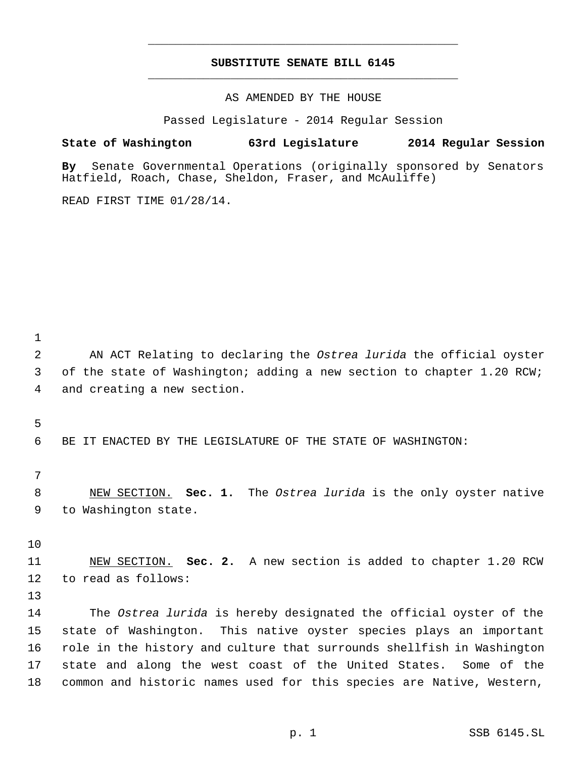## **SUBSTITUTE SENATE BILL 6145** \_\_\_\_\_\_\_\_\_\_\_\_\_\_\_\_\_\_\_\_\_\_\_\_\_\_\_\_\_\_\_\_\_\_\_\_\_\_\_\_\_\_\_\_\_

\_\_\_\_\_\_\_\_\_\_\_\_\_\_\_\_\_\_\_\_\_\_\_\_\_\_\_\_\_\_\_\_\_\_\_\_\_\_\_\_\_\_\_\_\_

AS AMENDED BY THE HOUSE

Passed Legislature - 2014 Regular Session

**State of Washington 63rd Legislature 2014 Regular Session**

**By** Senate Governmental Operations (originally sponsored by Senators Hatfield, Roach, Chase, Sheldon, Fraser, and McAuliffe)

READ FIRST TIME 01/28/14.

 AN ACT Relating to declaring the *Ostrea lurida* the official oyster 3 of the state of Washington; adding a new section to chapter 1.20 RCW; and creating a new section.

BE IT ENACTED BY THE LEGISLATURE OF THE STATE OF WASHINGTON:

 NEW SECTION. **Sec. 1.** The *Ostrea lurida* is the only oyster native to Washington state.

 NEW SECTION. **Sec. 2.** A new section is added to chapter 1.20 RCW to read as follows:

 The *Ostrea lurida* is hereby designated the official oyster of the state of Washington. This native oyster species plays an important role in the history and culture that surrounds shellfish in Washington state and along the west coast of the United States. Some of the common and historic names used for this species are Native, Western,